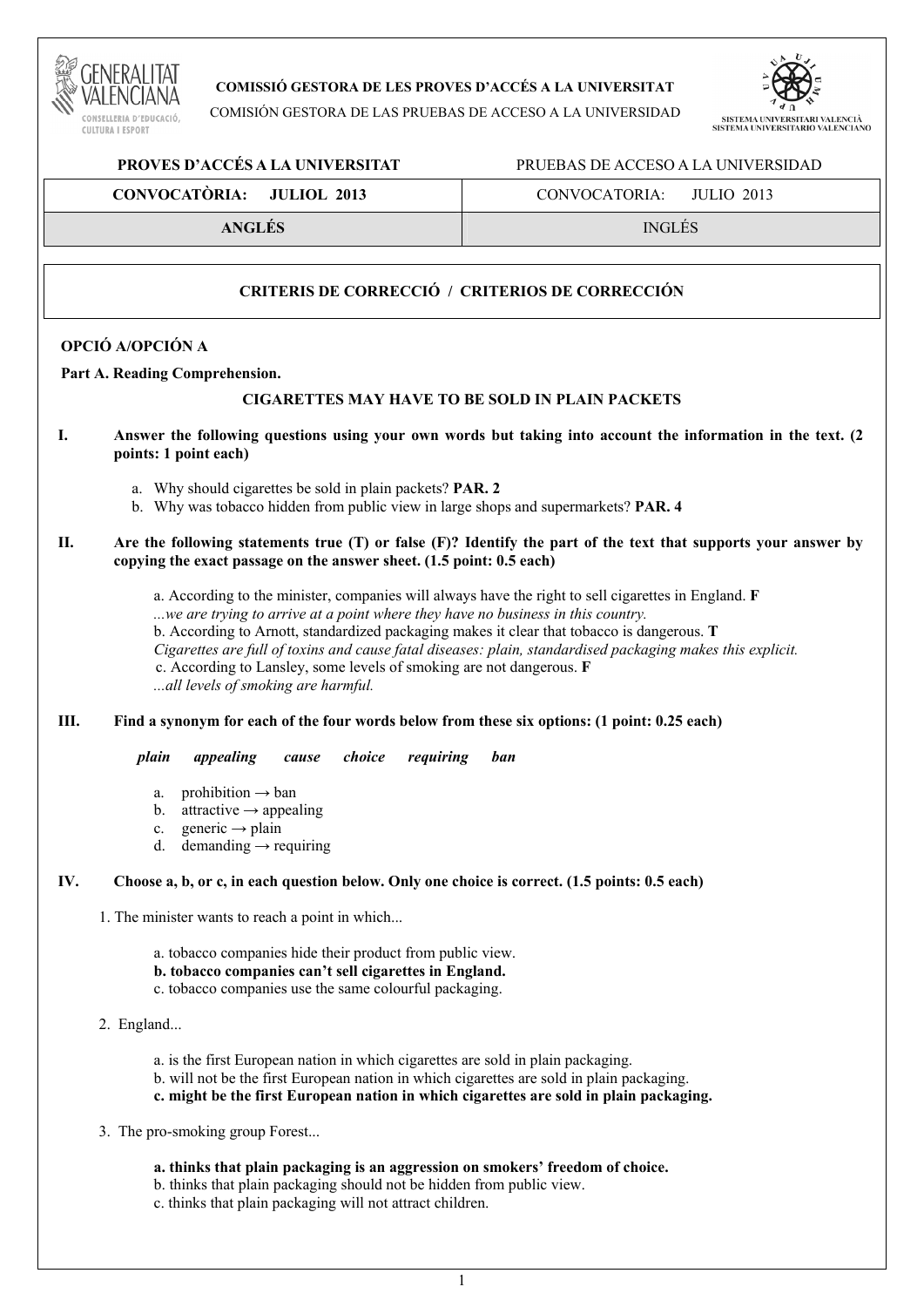

# **COMISSIÓ GESTORA DE LES PROVES D'ACCÉS A LA UNIVERSITAT**

COMISIÓN GESTORA DE LAS PRUEBAS DE ACCESO A LA UNIVERSIDAD



 **PROVES D'ACCÉS A LA UNIVERSITAT** PRUEBAS DE ACCESO A LA UNIVERSIDAD

| CONVOCATÒRIA: JULIOL 2013 | CONVOCATORIA:<br>ЛИЛО 2013 |
|---------------------------|----------------------------|
| <b>ANGLÉS</b>             | <b>INGLÉS</b>              |

# **CRITERIS DE CORRECCIÓ / CRITERIOS DE CORRECCIÓN**

# **OPCIÓ A/OPCIÓN A**

**Part A. Reading Comprehension.** 

## **CIGARETTES MAY HAVE TO BE SOLD IN PLAIN PACKETS**

- **I. Answer the following questions using your own words but taking into account the information in the text. (2 points: 1 point each)** 
	- a. Why should cigarettes be sold in plain packets? **PAR. 2**
	- b. Why was tobacco hidden from public view in large shops and supermarkets? **PAR. 4**
- **II. Are the following statements true (T) or false (F)? Identify the part of the text that supports your answer by copying the exact passage on the answer sheet. (1.5 point: 0.5 each)** 
	- a. According to the minister, companies will always have the right to sell cigarettes in England. **F**  *...we are trying to arrive at a point where they have no business in this country.*
	- b. According to Arnott, standardized packaging makes it clear that tobacco is dangerous. **T**
	- *Cigarettes are full of toxins and cause fatal diseases: plain, standardised packaging makes this explicit.*
	- c. According to Lansley, some levels of smoking are not dangerous. **F**

*...all levels of smoking are harmful.* 

# **III. Find a synonym for each of the four words below from these six options: (1 point: 0.25 each)**

 *plain appealing cause choice requiring ban* 

- a. prohibition  $\rightarrow$  ban
- b. attractive  $\rightarrow$  appealing
- c. generic **→** plain
- d. demanding  $\rightarrow$  requiring

### **IV. Choose a, b, or c, in each question below. Only one choice is correct. (1.5 points: 0.5 each)**

- 1. The minister wants to reach a point in which...
	- a. tobacco companies hide their product from public view.
	- **b. tobacco companies can't sell cigarettes in England.**
	- c. tobacco companies use the same colourful packaging.
- 2. England...
	- a. is the first European nation in which cigarettes are sold in plain packaging.
	- b. will not be the first European nation in which cigarettes are sold in plain packaging.
	- **c. might be the first European nation in which cigarettes are sold in plain packaging.**
- 3. The pro-smoking group Forest...
	- **a. thinks that plain packaging is an aggression on smokers' freedom of choice.**
	- b. thinks that plain packaging should not be hidden from public view.
	- c. thinks that plain packaging will not attract children.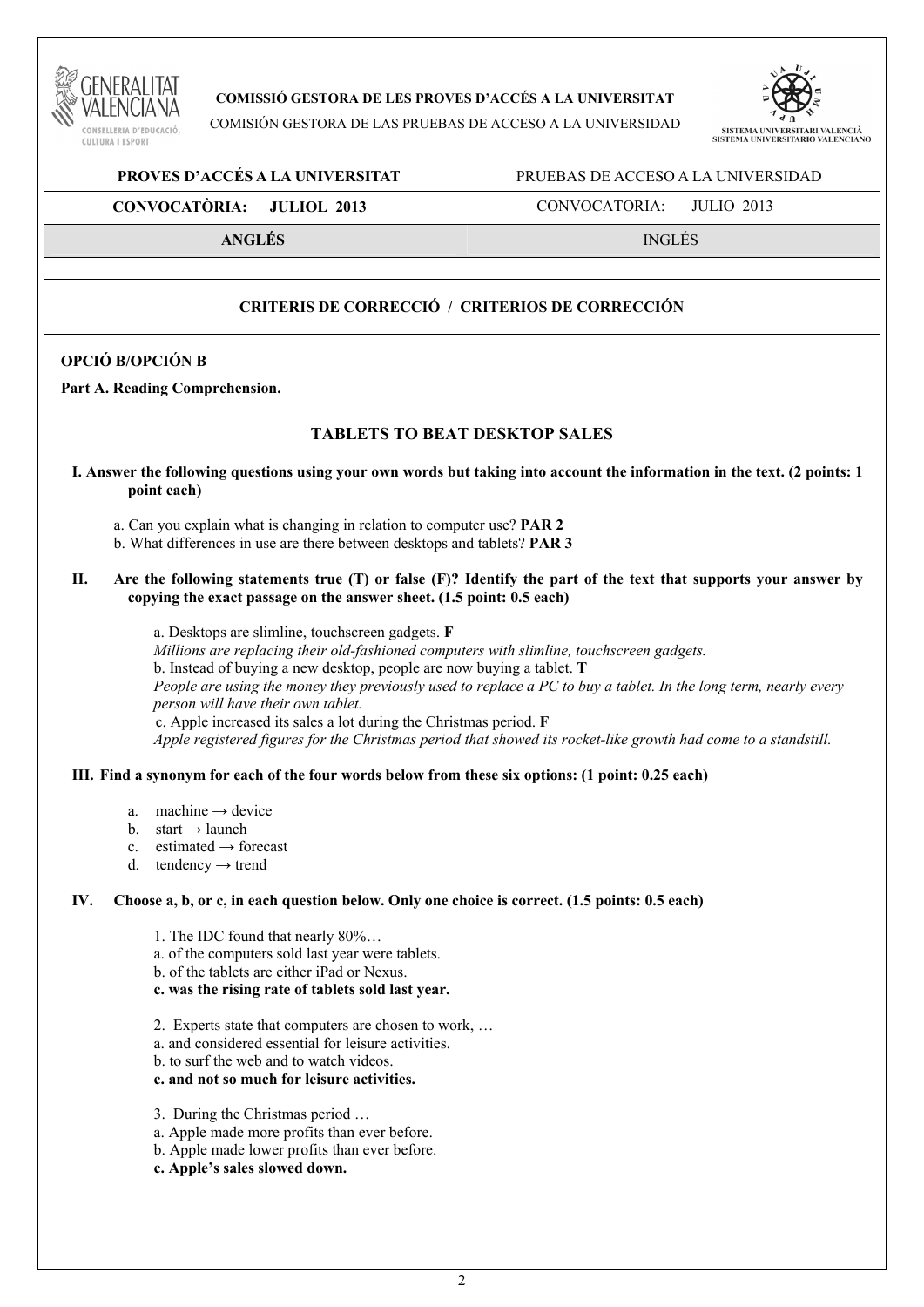

**COMISSIÓ GESTORA DE LES PROVES D'ACCÉS A LA UNIVERSITAT** 

COMISIÓN GESTORA DE LAS PRUEBAS DE ACCESO A LA UNIVERSIDAD



### **PROVES D'ACCÉS A LA UNIVERSITAT** PRUEBAS DE ACCESO A LA UNIVERSIDAD

| CONVOCATÒRIA: JULIOL 2013 | CONVOCATORIA:<br>ЛЛЛО 2013 |
|---------------------------|----------------------------|
| <b>ANGLÉS</b>             | <b>INGLÉS</b>              |

# **CRITERIS DE CORRECCIÓ / CRITERIOS DE CORRECCIÓN**

## **OPCIÓ B/OPCIÓN B**

#### **Part A. Reading Comprehension.**

# **TABLETS TO BEAT DESKTOP SALES**

- **I. Answer the following questions using your own words but taking into account the information in the text. (2 points: 1 point each)** 
	- a. Can you explain what is changing in relation to computer use? **PAR 2**
	- b. What differences in use are there between desktops and tablets? **PAR 3**
- **II. Are the following statements true (T) or false (F)? Identify the part of the text that supports your answer by copying the exact passage on the answer sheet. (1.5 point: 0.5 each)**

a. Desktops are slimline, touchscreen gadgets. **F** 

*Millions are replacing their old-fashioned computers with slimline, touchscreen gadgets.*

b. Instead of buying a new desktop, people are now buying a tablet. **T**

*People are using the money they previously used to replace a PC to buy a tablet. In the long term, nearly every person will have their own tablet.* 

c. Apple increased its sales a lot during the Christmas period. **F**

*Apple registered figures for the Christmas period that showed its rocket-like growth had come to a standstill.* 

### **III. Find a synonym for each of the four words below from these six options: (1 point: 0.25 each)**

- a. machine  $\rightarrow$  device
- b. start **→** launch
- c. estimated **→** forecast
- d. tendency **→** trend

#### **IV. Choose a, b, or c, in each question below. Only one choice is correct. (1.5 points: 0.5 each)**

- 1. The IDC found that nearly 80%…
- a. of the computers sold last year were tablets.
- b. of the tablets are either iPad or Nexus.
- **c. was the rising rate of tablets sold last year.**
- 2. Experts state that computers are chosen to work, …
- a. and considered essential for leisure activities.
- b. to surf the web and to watch videos.
- **c. and not so much for leisure activities.**
- 3. During the Christmas period …
- a. Apple made more profits than ever before.
- b. Apple made lower profits than ever before.
- **c. Apple's sales slowed down.**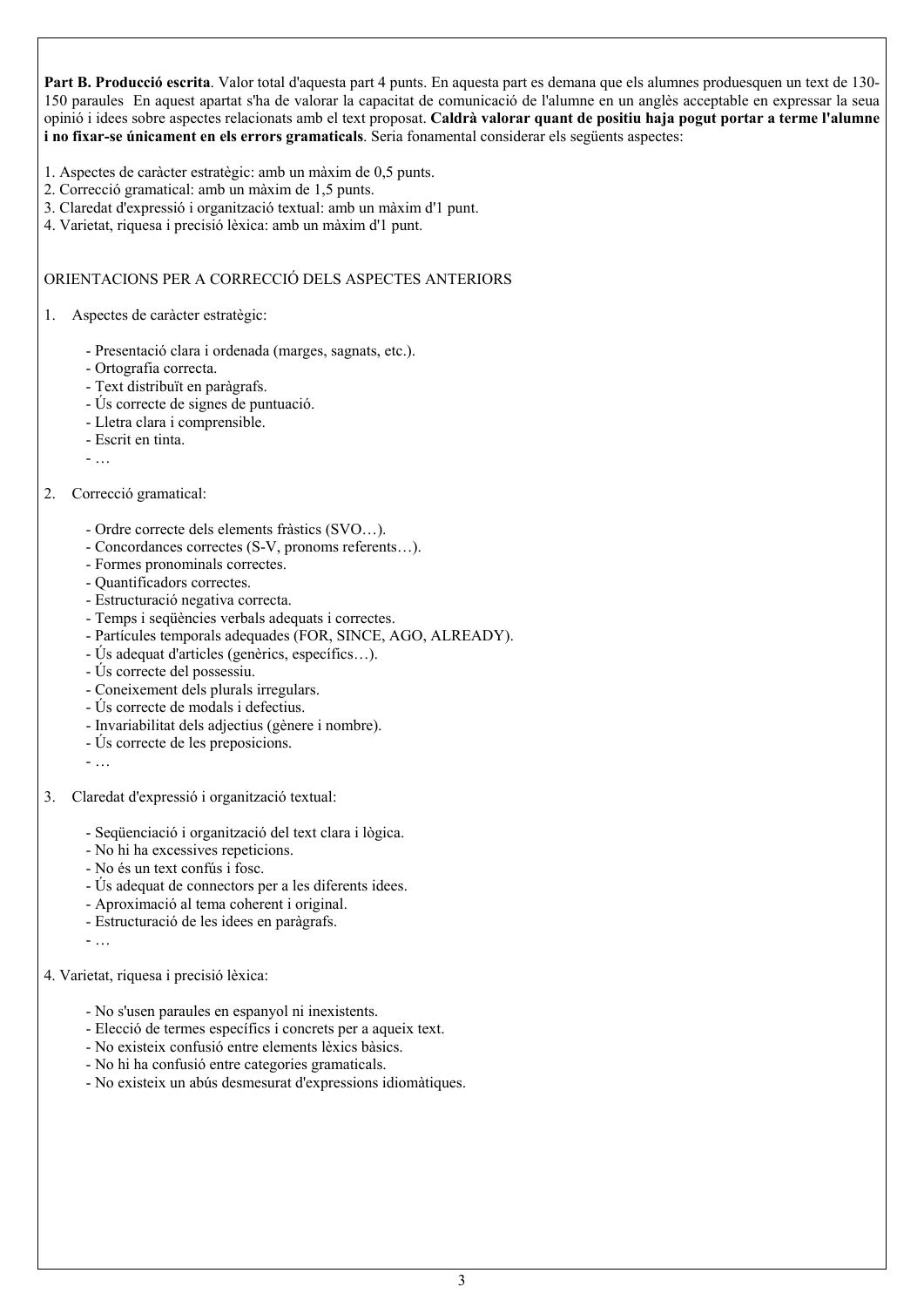**Part B. Producció escrita**. Valor total d'aquesta part 4 punts. En aquesta part es demana que els alumnes produesquen un text de 130- 150 paraules En aquest apartat s'ha de valorar la capacitat de comunicació de l'alumne en un anglès acceptable en expressar la seua opinió i idees sobre aspectes relacionats amb el text proposat. **Caldrà valorar quant de positiu haja pogut portar a terme l'alumne i no fixar-se únicament en els errors gramaticals**. Seria fonamental considerar els següents aspectes:

- 1. Aspectes de caràcter estratègic: amb un màxim de 0,5 punts.
- 2. Correcció gramatical: amb un màxim de 1,5 punts.
- 3. Claredat d'expressió i organització textual: amb un màxim d'1 punt.
- 4. Varietat, riquesa i precisió lèxica: amb un màxim d'1 punt.

### ORIENTACIONS PER A CORRECCIÓ DELS ASPECTES ANTERIORS

#### 1. Aspectes de caràcter estratègic:

- Presentació clara i ordenada (marges, sagnats, etc.).
- Ortografia correcta.
- Text distribuït en paràgrafs.
- Ús correcte de signes de puntuació.
- Lletra clara i comprensible.
- Escrit en tinta.
- …

### 2. Correcció gramatical:

- Ordre correcte dels elements fràstics (SVO…).
- Concordances correctes (S-V, pronoms referents…).
- Formes pronominals correctes.
- Quantificadors correctes.
- Estructuració negativa correcta.
- Temps i seqüències verbals adequats i correctes.
- Partícules temporals adequades (FOR, SINCE, AGO, ALREADY).
- Ús adequat d'articles (genèrics, específics…).
- Ús correcte del possessiu.
- Coneixement dels plurals irregulars.
- Ús correcte de modals i defectius.
- Invariabilitat dels adjectius (gènere i nombre).
- Ús correcte de les preposicions.
- …
- 3. Claredat d'expressió i organització textual:
	- Seqüenciació i organització del text clara i lògica.
	- No hi ha excessives repeticions.
	- No és un text confús i fosc.
	- Ús adequat de connectors per a les diferents idees.
	- Aproximació al tema coherent i original.
	- Estructuració de les idees en paràgrafs.
	- …
- 4. Varietat, riquesa i precisió lèxica:
	- No s'usen paraules en espanyol ni inexistents.
	- Elecció de termes específics i concrets per a aqueix text.
	- No existeix confusió entre elements lèxics bàsics.
	- No hi ha confusió entre categories gramaticals.
	- No existeix un abús desmesurat d'expressions idiomàtiques.